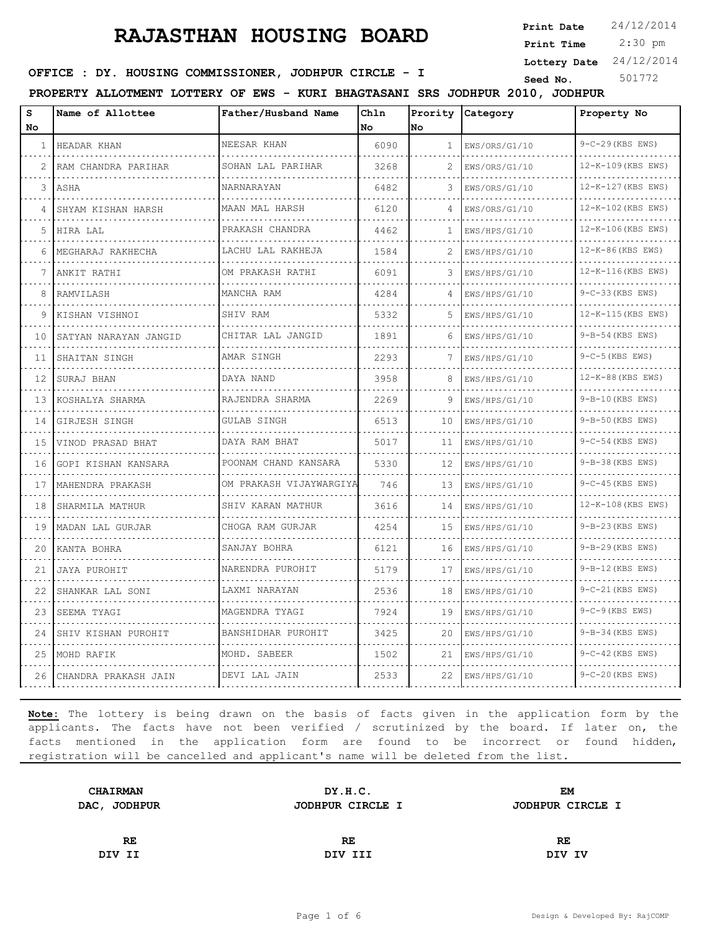**Print Date**  $24/12/2014$ 

 2:30 pm **Print Time**

**Lottery Date** 24/12/2014

**OFFICE : DY. HOUSING COMMISSIONER, JODHPUR CIRCLE - I** Seed No. 501772

**PROPERTY ALLOTMENT LOTTERY OF EWS - KURI BHAGTASANI SRS JODHPUR 2010, JODHPUR**

| s<br>No | Name of Allottee      | Father/Husband Name       | Chln<br>No | No | Prority Category | Property No            |
|---------|-----------------------|---------------------------|------------|----|------------------|------------------------|
| 1       | HEADAR KHAN           | NEESAR KHAN               | 6090       | 1  | EWS/ORS/G1/10    | 9-C-29 (KBS EWS)       |
| 2       | RAM CHANDRA PARIHAR   | SOHAN LAL PARIHAR         | 3268       | 2  | EWS/ORS/G1/10    | 12-K-109 (KBS EWS)     |
| 3       | ASHA                  | NARNARAYAN                | 6482       | 3  | EWS/ORS/G1/10    | 12-K-127 (KBS EWS)     |
| 4       | SHYAM KISHAN HARSH    | MAAN MAL HARSH            | 6120       | 4  | EWS/ORS/G1/10    | 12-K-102 (KBS EWS)     |
| 5       | HIRA LAL              | .<br>PRAKASH CHANDRA      | 4462       | 1  | EWS/HPS/G1/10    | 12-K-106 (KBS EWS)     |
| 6       | MEGHARAJ RAKHECHA     | LACHU LAL RAKHEJA         | 1584       | 2  | EWS/HPS/G1/10    | 12-K-86 (KBS EWS)      |
|         | ANKIT RATHI           | OM PRAKASH RATHI          | 6091       | 3  | EWS/HPS/G1/10    | 12-K-116 (KBS EWS)     |
| 8       | RAMVILASH             | MANCHA RAM                | 4284       | 4  | EWS/HPS/G1/10    | 9-C-33 (KBS EWS)       |
| 9       | KISHAN VISHNOI        | SHIV RAM                  | 5332       | 5  | EWS/HPS/G1/10    | 12-K-115 (KBS EWS)     |
| 10      | SATYAN NARAYAN JANGID | CHITAR LAL JANGID         | 1891       | 6  | EWS/HPS/G1/10    | 9-B-54 (KBS EWS)       |
| 11      | SHAITAN SINGH         | AMAR SINGH                | 2293       | 7  | EWS/HPS/G1/10    | $9-C-5$ (KBS EWS)      |
| 12      | SURAJ BHAN            | DAYA NAND                 | 3958       | 8  | EWS/HPS/G1/10    | 12-K-88 (KBS EWS)      |
| 13      | KOSHALYA SHARMA       | RAJENDRA SHARMA<br>.      | 2269       | 9  | EWS/HPS/G1/10    | 9-B-10 (KBS EWS)       |
| 14      | GIRJESH SINGH         | GULAB SINGH               | 6513       | 10 | EWS/HPS/G1/10    | 9-B-50 (KBS EWS)       |
| 15      | VINOD PRASAD BHAT     | DAYA RAM BHAT             | 5017       | 11 | EWS/HPS/G1/10    | $9-C-54$ (KBS EWS)     |
| 16      | GOPI KISHAN KANSARA   | POONAM CHAND KANSARA      | 5330       | 12 | EWS/HPS/G1/10    | 9-B-38 (KBS EWS)       |
| 17      | MAHENDRA PRAKASH      | OM PRAKASH VIJAYWARGIYA   | 746        | 13 | EWS/HPS/G1/10    | $9 - C - 45$ (KBS EWS) |
| 18      | SHARMILA MATHUR       | SHIV KARAN MATHUR         | 3616       | 14 | EWS/HPS/G1/10    | 12-K-108 (KBS EWS)     |
| 19      | MADAN LAL GURJAR      | CHOGA RAM GURJAR<br>.     | 4254       | 15 | EWS/HPS/G1/10    | 9-B-23 (KBS EWS)       |
| 20      | KANTA BOHRA           | SANJAY BOHRA<br>.         | 6121       | 16 | EWS/HPS/G1/10    | 9-B-29 (KBS EWS)       |
| 21      | JAYA PUROHIT          | NARENDRA PUROHIT          | 5179       | 17 | EWS/HPS/G1/10    | $9-B-12$ (KBS EWS)     |
| 22      | SHANKAR LAL SONI      | LAXMI NARAYAN<br><u>.</u> | 2536       | 18 | EWS/HPS/G1/10    | $9-C-21$ (KBS EWS)     |
| 23      | SEEMA TYAGI           | MAGENDRA TYAGI            | 7924       | 19 | EWS/HPS/G1/10    | $9-C-9$ (KBS EWS)      |
| 24      | SHIV KISHAN PUROHIT   | BANSHIDHAR PUROHIT        | 3425       | 20 | EWS/HPS/G1/10    | 9-B-34 (KBS EWS)       |
| 25      | MOHD RAFIK            | MOHD. SABEER              | 1502       | 21 | EWS/HPS/G1/10    | $9-C-42$ (KBS EWS)     |
| 26      | CHANDRA PRAKASH JAIN  | DEVI LAL JAIN             | 2533       | 22 | EWS/HPS/G1/10    | 9-C-20 (KBS EWS)       |

| <b>CHAIRMAN</b> | DY.H.C.          | <b>EM</b>        |  |
|-----------------|------------------|------------------|--|
| DAC, JODHPUR    | JODHPUR CIRCLE I | JODHPUR CIRCLE I |  |
|                 |                  |                  |  |
| RE.             | RE               | RE               |  |
| DIV II          | DIV III          | DIV IV           |  |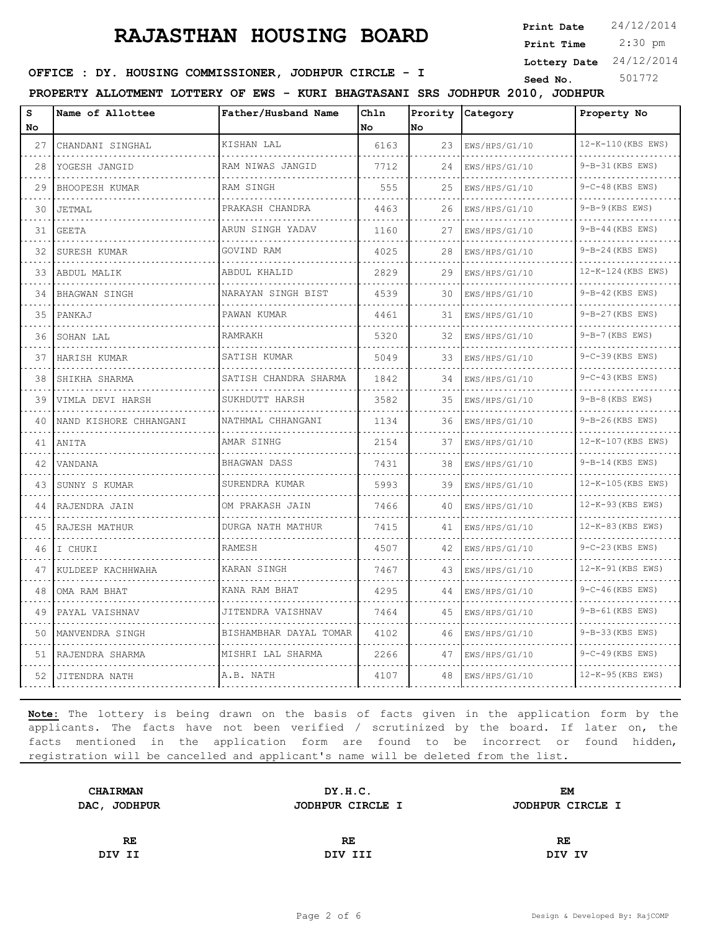**Print Date**  $24/12/2014$ 

 2:30 pm **Print Time**

**Lottery Date** 24/12/2014

**OFFICE : DY. HOUSING COMMISSIONER, JODHPUR CIRCLE - I** Seed No. 501772

**PROPERTY ALLOTMENT LOTTERY OF EWS - KURI BHAGTASANI SRS JODHPUR 2010, JODHPUR**

| S<br>No | Name of Allottee       | Father/Husband Name                | Chln<br>No | No | Prority Category | Property No        |
|---------|------------------------|------------------------------------|------------|----|------------------|--------------------|
| 27      | CHANDANI SINGHAL       | KISHAN LAL                         | 6163       | 23 | EWS/HPS/G1/10    | 12-K-110 (KBS EWS) |
| 28      | YOGESH JANGID          | RAM NIWAS JANGID                   | 7712       | 24 | EWS/HPS/G1/10    | 9-B-31 (KBS EWS)   |
| 29      | BHOOPESH KUMAR         | RAM SINGH                          | 555        | 25 | EWS/HPS/G1/10    | $9-C-48$ (KBS EWS) |
| 30      | JETMAL                 | PRAKASH CHANDRA                    | 4463       | 26 | EWS/HPS/G1/10    | $9-B-9$ (KBS EWS)  |
| 31      | GEETA                  | .<br>ARUN SINGH YADAV              | 1160       | 27 | EWS/HPS/G1/10    | 9-B-44 (KBS EWS)   |
| 32      | SURESH KUMAR           | GOVIND RAM                         | 4025       | 28 | EWS/HPS/G1/10    | 9-B-24 (KBS EWS)   |
| 33      | ABDUL MALIK            | ABDUL KHALID                       | 2829       | 29 | EWS/HPS/G1/10    | 12-K-124 (KBS EWS) |
| 34      | BHAGWAN SINGH          | NARAYAN SINGH BIST                 | 4539       | 30 | EWS/HPS/G1/10    | $9-B-42$ (KBS EWS) |
| 35      | PANKAJ                 | PAWAN KUMAR                        | 4461       | 31 | EWS/HPS/G1/10    | 9-B-27 (KBS EWS)   |
| 36      | SOHAN LAL              | RAMRAKH                            | 5320       | 32 | EWS/HPS/G1/10    | $9-B-7$ (KBS EWS)  |
| 37      | HARISH KUMAR           | SATISH KUMAR                       | 5049       | 33 | EWS/HPS/G1/10    | 9-C-39 (KBS EWS)   |
| 38      | SHIKHA SHARMA          | SATISH CHANDRA SHARMA              | 1842       | 34 | EWS/HPS/G1/10    | $9-C-43$ (KBS EWS) |
| 39      | VIMLA DEVI HARSH       | SUKHDUTT HARSH                     | 3582       | 35 | EWS/HPS/G1/10    | $9-B-8$ (KBS EWS)  |
| 40      | NAND KISHORE CHHANGANI | NATHMAL CHHANGANI                  | 1134       | 36 | EWS/HPS/G1/10    | $9-B-26$ (KBS EWS) |
| 41      | ANITA                  | AMAR SINHG                         | 2154       | 37 | EWS/HPS/G1/10    | 12-K-107 (KBS EWS) |
| 42      | VANDANA                | <b>BHAGWAN DASS</b><br>.           | 7431       | 38 | EWS/HPS/G1/10    | $9-B-14$ (KBS EWS) |
| 43      | SUNNY S KUMAR          | SURENDRA KUMAR                     | 5993       | 39 | EWS/HPS/G1/10    | 12-K-105 (KBS EWS) |
| 44      | RAJENDRA JAIN          | OM PRAKASH JAIN                    | 7466       | 40 | EWS/HPS/G1/10    | 12-K-93 (KBS EWS)  |
| 45      | RAJESH MATHUR          | DURGA NATH MATHUR                  | 7415       | 41 | EWS/HPS/G1/10    | 12-K-83 (KBS EWS)  |
| 46      | I CHUKI                | RAMESH                             | 4507       | 42 | EWS/HPS/G1/10    | $9-C-23$ (KBS EWS) |
| 47      | KULDEEP KACHHWAHA      | KARAN SINGH                        | 7467       | 43 | EWS/HPS/G1/10    | 12-K-91 (KBS EWS)  |
| 48      | OMA RAM BHAT           | KANA RAM BHAT                      | 4295       | 44 | EWS/HPS/G1/10    | $9-C-46$ (KBS EWS) |
| 49      | PAYAL VAISHNAV         | JITENDRA VAISHNAV                  | 7464       | 45 | EWS/HPS/G1/10    | $9-B-61$ (KBS EWS) |
| 50      | MANVENDRA SINGH        | BISHAMBHAR DAYAL TOMAR<br><u>.</u> | 4102       | 46 | EWS/HPS/G1/10    | 9-B-33 (KBS EWS)   |
| 51      | RAJENDRA SHARMA        | MISHRI LAL SHARMA                  | 2266       | 47 | EWS/HPS/G1/10    | $9-C-49$ (KBS EWS) |
| 52      | JITENDRA NATH          | A.B. NATH                          | 4107       | 48 | EWS/HPS/G1/10    | 12-K-95 (KBS EWS)  |

| <b>CHAIRMAN</b> | DY.H.C.          | EM               |  |
|-----------------|------------------|------------------|--|
| DAC, JODHPUR    | JODHPUR CIRCLE I | JODHPUR CIRCLE I |  |
|                 |                  |                  |  |
| RE              | RE               | RE               |  |
| DIV II          | DIV III          | DIV IV           |  |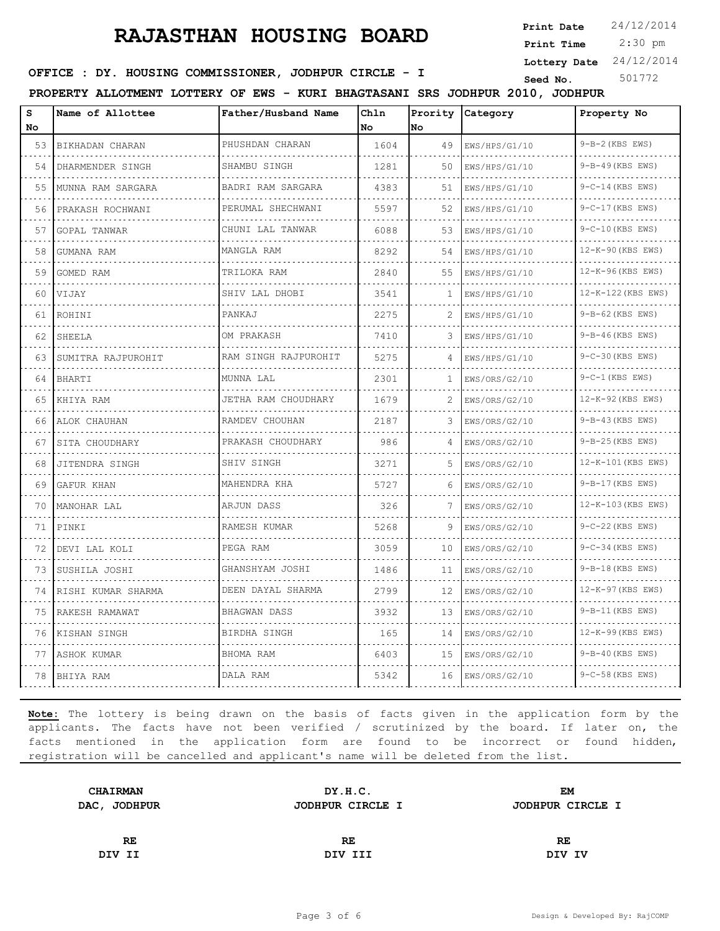**Print Date**  $24/12/2014$ 

 2:30 pm **Print Time**

**Lottery Date** 24/12/2014

**OFFICE : DY. HOUSING COMMISSIONER, JODHPUR CIRCLE - I** Seed No. 501772

**PROPERTY ALLOTMENT LOTTERY OF EWS - KURI BHAGTASANI SRS JODHPUR 2010, JODHPUR**

| s  | Name of Allottee   | Father/Husband Name        | Chln |      | Prority Category | Property No            |
|----|--------------------|----------------------------|------|------|------------------|------------------------|
| No |                    |                            | No   | lNo. |                  |                        |
| 53 | BIKHADAN CHARAN    | PHUSHDAN CHARAN            | 1604 | 49   | EWS/HPS/G1/10    | $9-B-2$ (KBS EWS)      |
| 54 | DHARMENDER SINGH   | SHAMBU SINGH               | 1281 | 50   | EWS/HPS/G1/10    | 9-B-49 (KBS EWS)       |
| 55 | MUNNA RAM SARGARA  | BADRI RAM SARGARA          | 4383 | 51   | EWS/HPS/G1/10    | $9 - C - 14$ (KBS EWS) |
| 56 | PRAKASH ROCHWANI   | PERUMAL SHECHWANI          | 5597 | 52   | EWS/HPS/G1/10    | $9-C-17$ (KBS EWS)     |
| 57 | GOPAL TANWAR       | CHUNI LAL TANWAR           | 6088 | 53   | EWS/HPS/G1/10    | 9-C-10 (KBS EWS)       |
| 58 | GUMANA RAM         | MANGLA RAM                 | 8292 | 54   | EWS/HPS/G1/10    | 12-K-90 (KBS EWS)      |
| 59 | GOMED RAM          | TRILOKA RAM                | 2840 | 55   | EWS/HPS/G1/10    | 12-K-96 (KBS EWS)      |
| 60 | VIJAY              | SHIV LAL DHOBI             | 3541 | 1    | EWS/HPS/G1/10    | 12-K-122 (KBS EWS)     |
| 61 | ROHINI             | PANKAJ                     | 2275 | 2    | EWS/HPS/G1/10    | $9-B-62$ (KBS EWS)     |
| 62 | SHEELA             | OM PRAKASH                 | 7410 | 3    | EWS/HPS/G1/10    | $9-B-46$ (KBS EWS)     |
| 63 | SUMITRA RAJPUROHIT | RAM SINGH RAJPUROHIT       | 5275 | 4    | EWS/HPS/G1/10    | 9-C-30 (KBS EWS)       |
| 64 | <b>BHARTI</b>      | MUNNA LAL                  | 2301 | 1    | EWS/ORS/G2/10    | $9-C-1$ (KBS EWS)      |
| 65 | KHIYA RAM          | JETHA RAM CHOUDHARY        | 1679 | 2    | EWS/ORS/G2/10    | 12-K-92 (KBS EWS)      |
| 66 | ALOK CHAUHAN       | RAMDEV CHOUHAN<br><u>.</u> | 2187 | 3    | EWS/ORS/G2/10    | $9-B-43$ (KBS EWS)     |
| 67 | SITA CHOUDHARY     | PRAKASH CHOUDHARY          | 986  | 4    | EWS/ORS/G2/10    | 9-B-25 (KBS EWS)       |
| 68 | JITENDRA SINGH     | SHIV SINGH                 | 3271 | 5    | EWS/ORS/G2/10    | 12-K-101 (KBS EWS)     |
| 69 | GAFUR KHAN         | MAHENDRA KHA               | 5727 | 6    | EWS/ORS/G2/10    | 9-B-17 (KBS EWS)       |
| 70 | MANOHAR LAL        | ARJUN DASS                 | 326  | 7    | EWS/ORS/G2/10    | 12-K-103 (KBS EWS)     |
| 71 | PINKI              | RAMESH KUMAR               | 5268 | 9    | EWS/ORS/G2/10    | 9-C-22 (KBS EWS)       |
| 72 | DEVI LAL KOLI      | PEGA RAM                   | 3059 | 10   | EWS/ORS/G2/10    | $9-C-34$ (KBS EWS)     |
| 73 | SUSHILA JOSHI      | GHANSHYAM JOSHI            | 1486 | 11   | EWS/ORS/G2/10    | $9-B-18$ (KBS EWS)     |
| 74 | RISHI KUMAR SHARMA | DEEN DAYAL SHARMA<br>.     | 2799 | 12   | EWS/ORS/G2/10    | 12-K-97 (KBS EWS)      |
| 75 | RAKESH RAMAWAT     | BHAGWAN DASS               | 3932 | 13   | EWS/ORS/G2/10    | $9-B-11$ (KBS EWS)     |
| 76 | KISHAN SINGH       | BIRDHA SINGH               | 165  | 14   | EWS/ORS/G2/10    | 12-K-99 (KBS EWS)      |
| 77 | ASHOK KUMAR        | BHOMA RAM                  | 6403 | 15   | EWS/ORS/G2/10    | 9-B-40 (KBS EWS)       |
| 78 | BHIYA RAM          | DALA RAM                   | 5342 | 16   | EWS/ORS/G2/10    | 9-C-58 (KBS EWS)       |

| <b>CHAIRMAN</b> | DY.H.C.          | EM               |  |
|-----------------|------------------|------------------|--|
| DAC, JODHPUR    | JODHPUR CIRCLE I | JODHPUR CIRCLE I |  |
|                 |                  |                  |  |
| RE              | RE               | RE               |  |
| DIV II          | DIV III          | DIV IV           |  |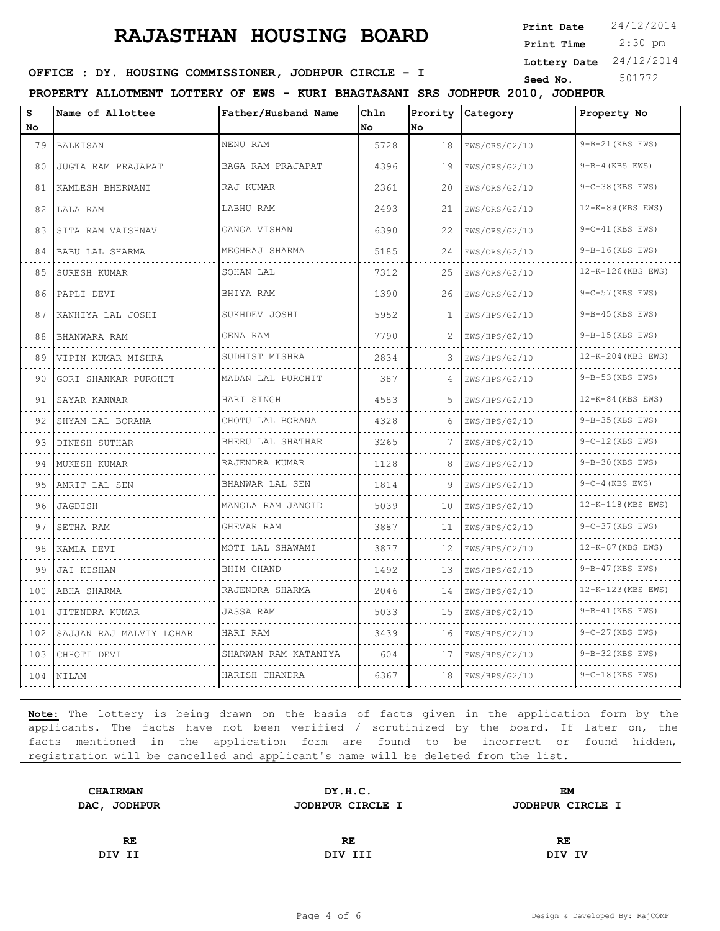**Print Date**  $24/12/2014$ 

 2:30 pm **Print Time**

**Lottery Date** 24/12/2014

**OFFICE : DY. HOUSING COMMISSIONER, JODHPUR CIRCLE - I** Seed No. 501772

**PROPERTY ALLOTMENT LOTTERY OF EWS - KURI BHAGTASANI SRS JODHPUR 2010, JODHPUR**

| s<br>No | Name of Allottee          | Father/Husband Name                  | Chln<br>No. | No. | Prority Category   | Property No                    |
|---------|---------------------------|--------------------------------------|-------------|-----|--------------------|--------------------------------|
| 79      | BALKISAN                  | NENU RAM                             | 5728        | 18  | EWS/ORS/G2/10      | 9-B-21 (KBS EWS)               |
| 80      | .<br>JUGTA RAM PRAJAPAT   | BAGA RAM PRAJAPAT                    | 4396        | 19  | .<br>EWS/ORS/G2/10 | .<br>$9-B-4$ (KBS EWS)         |
| 81      | KAMLESH BHERWANI          | RAJ KUMAR                            | 2361        | 20  | EWS/ORS/G2/10      | 9-C-38 (KBS EWS)               |
| 82      | LALA RAM                  | LABHU RAM                            | 2493        | 21  | EWS/ORS/G2/10      | 12-K-89 (KBS EWS)              |
| 83      | SITA RAM VAISHNAV         | GANGA VISHAN                         | 6390        | 22  | EWS/ORS/G2/10      | $9-C-41$ (KBS EWS)             |
| 84      | BABU LAL SHARMA           | and a state of the<br>MEGHRAJ SHARMA | 5185        | 24  | EWS/ORS/G2/10      | $9-B-16$ (KBS EWS)             |
| 85      | SURESH KUMAR              | SOHAN LAL                            | 7312        | 25  | EWS/ORS/G2/10      | 12-K-126 (KBS EWS)             |
| 86      | PAPLI DEVI                | BHIYA RAM                            | 1390        | 26  | EWS/ORS/G2/10      | <u>.</u><br>$9-C-57$ (KBS EWS) |
| 87      | KANHIYA LAL JOSHI         | SUKHDEV JOSHI                        | 5952        | 1   | EWS/HPS/G2/10      | $9-B-45$ (KBS EWS)             |
| 88      | BHANWARA RAM              | GENA RAM                             | 7790        | 2   | EWS/HPS/G2/10      | 9-B-15 (KBS EWS)               |
| 89      | VIPIN KUMAR MISHRA        | SUDHIST MISHRA                       | 2834        | 3   | EWS/HPS/G2/10      | 12-K-204 (KBS EWS)             |
| 90      | .<br>GORI SHANKAR PUROHIT | .<br>MADAN LAL PUROHIT               | 387         | 4   | EWS/HPS/G2/10      | 9-B-53 (KBS EWS)               |
| 91      | SAYAR KANWAR              | HARI SINGH                           | 4583        | 5   | EWS/HPS/G2/10      | 12-K-84 (KBS EWS)              |
| 92      | .<br>SHYAM LAL BORANA     | .<br>CHOTU LAL BORANA                | 4328        | 6   | EWS/HPS/G2/10      | 9-B-35 (KBS EWS)               |
| 93      | .<br>DINESH SUTHAR        | BHERU LAL SHATHAR                    | 3265        | 7   | EWS/HPS/G2/10      | $9-C-12$ (KBS EWS)             |
| 94      | MUKESH KUMAR              | RAJENDRA KUMAR<br>.                  | 1128        | 8   | EWS/HPS/G2/10      | 9-B-30 (KBS EWS)               |
| 95      | AMRIT LAL SEN             | BHANWAR LAL SEN                      | 1814        | 9   | EWS/HPS/G2/10      | $9 - C - 4$ (KBS EWS)          |
| 96      | JAGDISH                   | MANGLA RAM JANGID                    | 5039        | 10  | EWS/HPS/G2/10      | 12-K-118 (KBS EWS)             |
| 97      | SETHA RAM                 | GHEVAR RAM<br>.                      | 3887        | 11  | EWS/HPS/G2/10      | 9-C-37 (KBS EWS)               |
| 98      | KAMLA DEVI                | MOTI LAL SHAWAMI                     | 3877        | 12  | EWS/HPS/G2/10      | 12-K-87 (KBS EWS)              |
| 99      | JAI KISHAN                | BHIM CHAND                           | 1492        | 13  | EWS/HPS/G2/10      | 9-B-47 (KBS EWS)               |
| 100     | ABHA SHARMA               | RAJENDRA SHARMA                      | 2046        | 14  | EWS/HPS/G2/10      | 12-K-123 (KBS EWS)<br><u>.</u> |
| 101     | JITENDRA KUMAR            | <b>JASSA RAM</b>                     | 5033        | 15  | EWS/HPS/G2/10      | $9-B-41$ (KBS EWS)             |
| 102     | SAJJAN RAJ MALVIY LOHAR   | HARI RAM                             | 3439        | 16  | EWS/HPS/G2/10      | 9-C-27 (KBS EWS)               |
| 103     | CHHOTI DEVI               | SHARWAN RAM KATANIYA                 | 604         | 17  | EWS/HPS/G2/10      | 9-B-32 (KBS EWS)               |
| 104     | <b>NILAM</b>              | HARISH CHANDRA                       | 6367        | 18  | EWS/HPS/G2/10      | $9-C-18$ (KBS EWS)             |

| DY.H.C.          | EМ               |
|------------------|------------------|
| JODHPUR CIRCLE I | JODHPUR CIRCLE I |
|                  |                  |
| RE               | RE               |
| DIV III          | DIV IV           |
|                  |                  |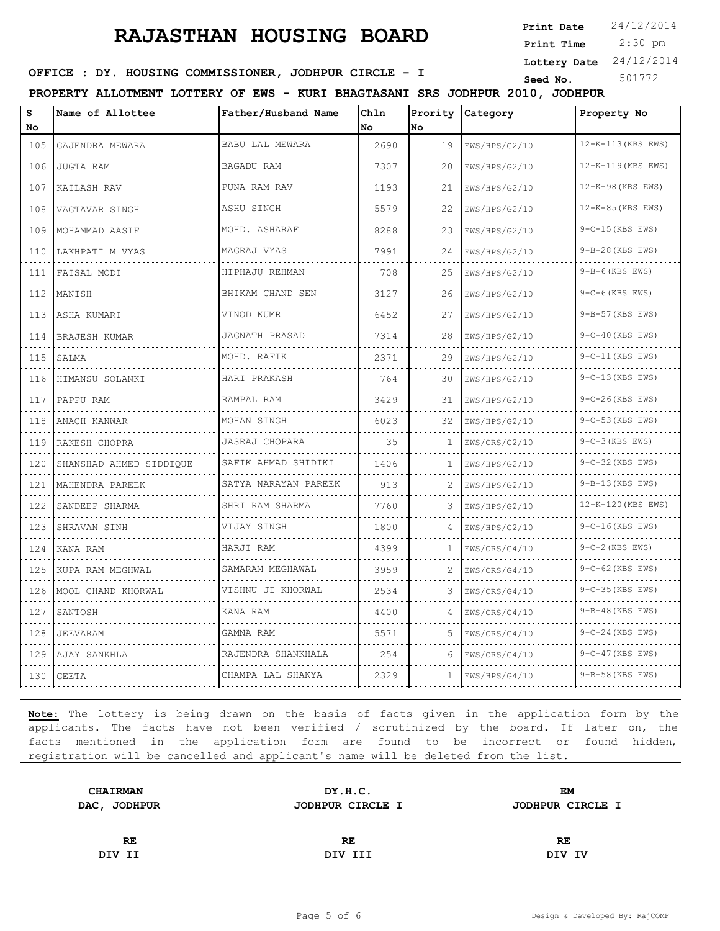**Print Date**  $24/12/2014$ 

 2:30 pm **Print Time**

**Lottery Date** 24/12/2014

**OFFICE : DY. HOUSING COMMISSIONER, JODHPUR CIRCLE - I** Seed No. 501772

**PROPERTY ALLOTMENT LOTTERY OF EWS - KURI BHAGTASANI SRS JODHPUR 2010, JODHPUR**

| s<br>No                     | Name of Allottee        | Father/Husband Name       | Chln<br>No | Prority<br>No | Category      | Property No        |
|-----------------------------|-------------------------|---------------------------|------------|---------------|---------------|--------------------|
| 105                         | GAJENDRA MEWARA         | <b>BABU LAL MEWARA</b>    | 2690       | 19            | EWS/HPS/G2/10 | 12-K-113 (KBS EWS) |
| 106                         | JUGTA RAM               | BAGADU RAM                | 7307       | 20            | EWS/HPS/G2/10 | 12-K-119 (KBS EWS) |
| 107                         | KAILASH RAV             | PUNA RAM RAV              | 1193       | 21            | EWS/HPS/G2/10 | 12-K-98 (KBS EWS)  |
| 108                         | VAGTAVAR SINGH          | ASHU SINGH                | 5579       | 22            | EWS/HPS/G2/10 | 12-K-85 (KBS EWS)  |
| 109                         | MOHAMMAD AASIF          | MOHD. ASHARAF             | 8288       | 23            | EWS/HPS/G2/10 | 9-C-15 (KBS EWS)   |
| 110                         | LAKHPATI M VYAS         | MAGRAJ VYAS               | 7991       | 24            | EWS/HPS/G2/10 | 9-B-28 (KBS EWS)   |
| 111                         | FAISAL MODI             | HIPHAJU REHMAN            | 708        | 25            | EWS/HPS/G2/10 | 9-B-6 (KBS EWS)    |
| $\sim$ $\sim$ $\sim$<br>112 | MANISH                  | BHIKAM CHAND SEN          | 3127       | 26            | EWS/HPS/G2/10 | 9-C-6(KBS EWS)     |
| 113                         | ASHA KUMARI             | VINOD KUMR                | 6452       | 27            | EWS/HPS/G2/10 | 9-B-57 (KBS EWS)   |
| 114                         | <b>BRAJESH KUMAR</b>    | JAGNATH PRASAD            | 7314       | 28            | EWS/HPS/G2/10 | 9-C-40 (KBS EWS)   |
| 115                         | SALMA                   | MOHD. RAFIK               | 2371       | 29            | EWS/HPS/G2/10 | 9-C-11(KBS EWS)    |
| 116                         | HIMANSU SOLANKI         | HARI PRAKASH              | 764        | 30            | EWS/HPS/G2/10 | 9-C-13 (KBS EWS)   |
| 117                         | PAPPU RAM               | RAMPAL RAM                | 3429       | 31            | EWS/HPS/G2/10 | 9-C-26(KBS EWS)    |
| 118                         | ANACH KANWAR            | MOHAN SINGH               | 6023       | 32            | EWS/HPS/G2/10 | 9-C-53 (KBS EWS)   |
| 119                         | RAKESH CHOPRA           | JASRAJ CHOPARA            | 35         | 1             | EWS/ORS/G2/10 | $9-C-3$ (KBS EWS)  |
| 120                         | SHANSHAD AHMED SIDDIQUE | SAFIK AHMAD SHIDIKI       | 1406       | -1            | EWS/HPS/G2/10 | 9-C-32 (KBS EWS)   |
| $\sim$ $\sim$ $\sim$<br>121 | MAHENDRA PAREEK         | .<br>SATYA NARAYAN PAREEK | 913        | 2             | EWS/HPS/G2/10 | 9-B-13 (KBS EWS)   |
| 122                         | SANDEEP SHARMA          | SHRI RAM SHARMA           | 7760       | 3             | EWS/HPS/G2/10 | 12-K-120 (KBS EWS) |
| 123                         | SHRAVAN SINH            | VIJAY SINGH<br>.          | 1800       | 4             | EWS/HPS/G2/10 | 9-C-16 (KBS EWS)   |
| 124                         | KANA RAM                | HARJI RAM                 | 4399       | 1             | EWS/ORS/G4/10 | 9-C-2 (KBS EWS)    |
| 125                         | KUPA RAM MEGHWAL        | SAMARAM MEGHAWAL          | 3959       | 2             | EWS/ORS/G4/10 | 9-C-62 (KBS EWS)   |
| 126                         | MOOL CHAND KHORWAL      | VISHNU JI KHORWAL         | 2534       | 3             | EWS/ORS/G4/10 | 9-C-35 (KBS EWS)   |
| .<br>127                    | SANTOSH                 | KANA RAM                  | 4400       | 4             | EWS/ORS/G4/10 | 9-B-48 (KBS EWS)   |
| 128                         | JEEVARAM                | GAMNA RAM                 | 5571       | 5             | EWS/ORS/G4/10 | 9-C-24 (KBS EWS)   |
| 129                         | AJAY SANKHLA            | RAJENDRA SHANKHALA<br>.   | 254        | 6             | EWS/ORS/G4/10 | 9-C-47 (KBS EWS)   |
| 130                         | <b>GEETA</b>            | CHAMPA LAL SHAKYA         | 2329       | 1             | EWS/HPS/G4/10 | 9-B-58 (KBS EWS)   |

| <b>CHAIRMAN</b> | DY.H.C.          | EM               |  |
|-----------------|------------------|------------------|--|
| DAC, JODHPUR    | JODHPUR CIRCLE I | JODHPUR CIRCLE I |  |
|                 |                  |                  |  |
| RE              | RE               | RE               |  |
| DIV II          | DIV III          | DIV IV           |  |